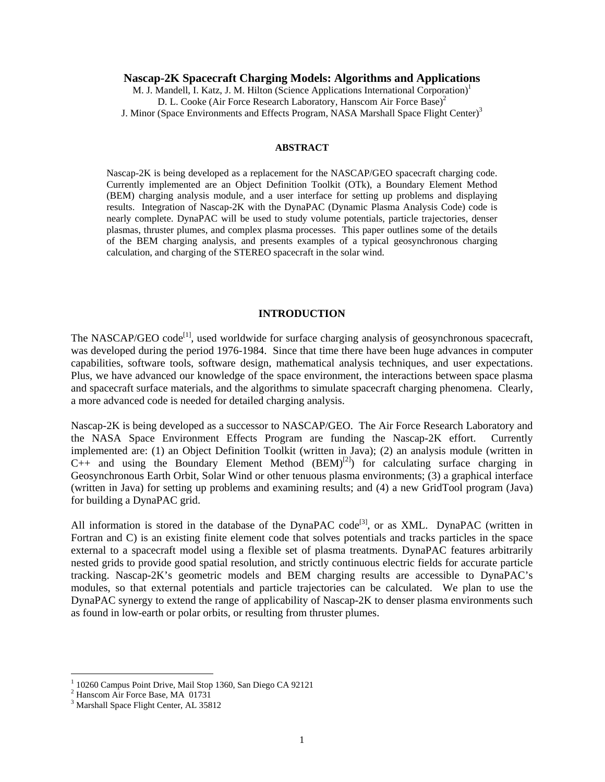### **Nascap-2K Spacecraft Charging Models: Algorithms and Applications**

M. J. Mandell, I. Katz, J. M. Hilton (Science Applications International Corporation)<sup>1</sup> D. L. Cooke (Air Force Research Laboratory, Hanscom Air Force Base)<sup>2</sup> J. Minor (Space Environments and Effects Program, NASA Marshall Space Flight Center)<sup>3</sup>

#### **ABSTRACT**

Nascap-2K is being developed as a replacement for the NASCAP/GEO spacecraft charging code. Currently implemented are an Object Definition Toolkit (OTk), a Boundary Element Method (BEM) charging analysis module, and a user interface for setting up problems and displaying results. Integration of Nascap-2K with the DynaPAC (Dynamic Plasma Analysis Code) code is nearly complete. DynaPAC will be used to study volume potentials, particle trajectories, denser plasmas, thruster plumes, and complex plasma processes. This paper outlines some of the details of the BEM charging analysis, and presents examples of a typical geosynchronous charging calculation, and charging of the STEREO spacecraft in the solar wind.

#### **INTRODUCTION**

The NASCAP/GEO code<sup>[1]</sup>, used worldwide for surface charging analysis of geosynchronous spacecraft, was developed during the period 1976-1984. Since that time there have been huge advances in computer capabilities, software tools, software design, mathematical analysis techniques, and user expectations. Plus, we have advanced our knowledge of the space environment, the interactions between space plasma and spacecraft surface materials, and the algorithms to simulate spacecraft charging phenomena. Clearly, a more advanced code is needed for detailed charging analysis.

Nascap-2K is being developed as a successor to NASCAP/GEO. The Air Force Research Laboratory and the NASA Space Environment Effects Program are funding the Nascap-2K effort. Currently implemented are: (1) an Object Definition Toolkit (written in Java); (2) an analysis module (written in  $C_{++}$  and using the Boundary Element Method  $(BEM)^{[2]}$  for calculating surface charging in Geosynchronous Earth Orbit, Solar Wind or other tenuous plasma environments; (3) a graphical interface (written in Java) for setting up problems and examining results; and (4) a new GridTool program (Java) for building a DynaPAC grid.

All information is stored in the database of the DynaPAC code<sup>[3]</sup>, or as XML. DynaPAC (written in , or as XML. DynaPAC (written in Fortran and C) is an existing finite element code that solves potentials and tracks particles in the space external to a spacecraft model using a flexible set of plasma treatments. DynaPAC features arbitrarily nested grids to provide good spatial resolution, and strictly continuous electric fields for accurate particle tracking. Nascap-2K's geometric models and BEM charging results are accessible to DynaPAC's modules, so that external potentials and particle trajectories can be calculated. We plan to use the DynaPAC synergy to extend the range of applicability of Nascap-2K to denser plasma environments such as found in low-earth or polar orbits, or resulting from thruster plumes.

<sup>1</sup> 10260 Campus Point Drive, Mail Stop 1360, San Diego CA 92121

 $2^2$  Hanscom Air Force Base, MA 01731

 $3$  Marshall Space Flight Center, AL 35812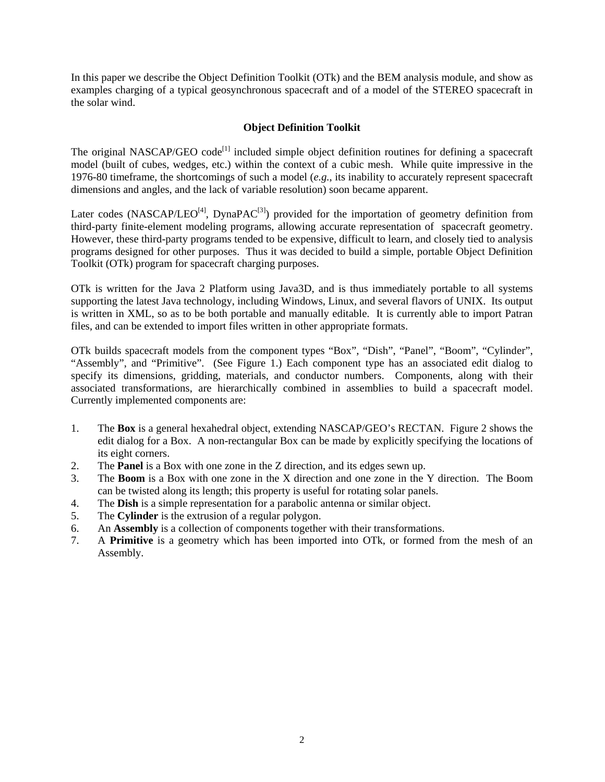In this paper we describe the Object Definition Toolkit (OTk) and the BEM analysis module, and show as examples charging of a typical geosynchronous spacecraft and of a model of the STEREO spacecraft in the solar wind.

# **Object Definition Toolkit**

The original NASCAP/GEO code<sup>[1]</sup> included simple object definition routines for defining a spacecraft model (built of cubes, wedges, etc.) within the context of a cubic mesh. While quite impressive in the 1976-80 timeframe, the shortcomings of such a model (*e.g.*, its inability to accurately represent spacecraft dimensions and angles, and the lack of variable resolution) soon became apparent.

Later codes (NASCAP/LEO<sup>[4]</sup>, DynaPAC<sup>[3]</sup>) provided for the importation of geometry definition from third-party finite-element modeling programs, allowing accurate representation of spacecraft geometry. However, these third-party programs tended to be expensive, difficult to learn, and closely tied to analysis programs designed for other purposes. Thus it was decided to build a simple, portable Object Definition Toolkit (OTk) program for spacecraft charging purposes.

OTk is written for the Java 2 Platform using Java3D, and is thus immediately portable to all systems supporting the latest Java technology, including Windows, Linux, and several flavors of UNIX. Its output is written in XML, so as to be both portable and manually editable. It is currently able to import Patran files, and can be extended to import files written in other appropriate formats.

OTk builds spacecraft models from the component types "Box", "Dish", "Panel", "Boom", "Cylinder", "Assembly", and "Primitive". (See Figure 1.) Each component type has an associated edit dialog to specify its dimensions, gridding, materials, and conductor numbers. Components, along with their associated transformations, are hierarchically combined in assemblies to build a spacecraft model. Currently implemented components are:

- 1. The **Box** is a general hexahedral object, extending NASCAP/GEO's RECTAN. Figure 2 shows the edit dialog for a Box. A non-rectangular Box can be made by explicitly specifying the locations of its eight corners.
- 2. The **Panel** is a Box with one zone in the Z direction, and its edges sewn up.
- 3. The **Boom** is a Box with one zone in the X direction and one zone in the Y direction. The Boom can be twisted along its length; this property is useful for rotating solar panels.
- 4. The **Dish** is a simple representation for a parabolic antenna or similar object.
- 5. The **Cylinder** is the extrusion of a regular polygon.
- 6. An **Assembly** is a collection of components together with their transformations.
- 7. A **Primitive** is a geometry which has been imported into OTk, or formed from the mesh of an Assembly.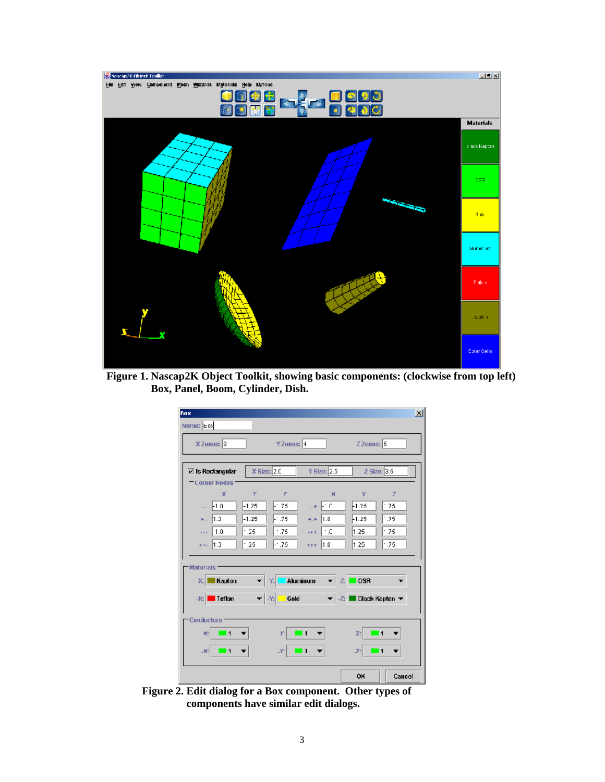

**Figure 1. Nascap2K Object Toolkit, showing basic components: (clockwise from top left) Box, Panel, Boom, Cylinder, Dish.**

| Rox                        |                                 |                  |                    | 区              |
|----------------------------|---------------------------------|------------------|--------------------|----------------|
| Name: Eox                  |                                 |                  |                    |                |
| X Zones: 3                 | YZones                          |                  | ZZones: 5          |                |
| <b>☑ Is Rectangular</b>    | X Size: 2.C                     | $Y$ Size: $2.5$  | Z Size: 3.6        |                |
| Corner Nodes<br>x          | Y<br>z                          | x                | Y                  | 7              |
| -1 N                       | $-1.25$<br>$-75$                | ⊩r<br>$-+$       | ⊧1 25              | .75            |
| lt.ol<br>$\Phi_{\rm{max}}$ | $-1.25$<br>$\approx$ .76        | 1.0 <br>$4 - 4$  | -1.25              | .75            |
| 1.0<br>$\sim 1.5$          | $^{\circ}$ .25<br>1.75          | ١c<br>-11        | 1.25               | $^{\circ}$ .75 |
| 1.J<br>$++-$               | $^{\circ}$ .25<br>$-75$         | 1.0<br>$+++$     | 1.25               | $-75$          |
| <b>Materials</b>           |                                 |                  |                    |                |
| Kapton<br>X:               | 회원                              | Aluminum<br>▼IZI | $\blacksquare$ OSR |                |
| <b>Teflon</b><br>$-80$     | Gold<br>$\blacktriangledown$ Xi | - 2              | ■ Diack Kapton ▼   |                |
| Conductors <sup>1</sup>    |                                 |                  |                    |                |
| 11<br>X.                   | Y)                              | ' 1              | Z:                 | 1              |
| $-80$<br>$\blacksquare$    | PC.                             | 11               | -25<br>I٦          |                |
|                            |                                 |                  |                    |                |
|                            |                                 |                  | OK                 | Cancel         |

**Figure 2. Edit dialog for a Box component. Other types of components have similar edit dialogs.**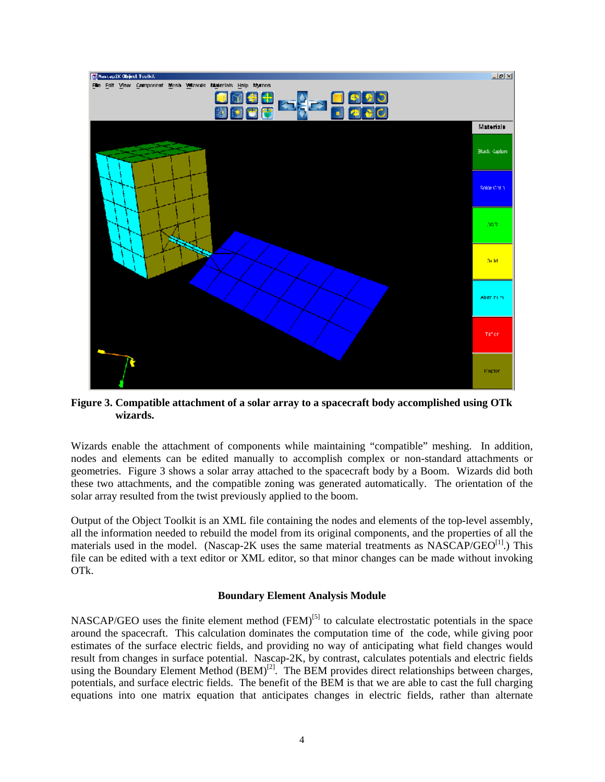

### **Figure 3. Compatible attachment of a solar array to a spacecraft body accomplished using OTk wizards.**

Wizards enable the attachment of components while maintaining "compatible" meshing. In addition, nodes and elements can be edited manually to accomplish complex or non-standard attachments or geometries. Figure 3 shows a solar array attached to the spacecraft body by a Boom. Wizards did both these two attachments, and the compatible zoning was generated automatically. The orientation of the solar array resulted from the twist previously applied to the boom.

Output of the Object Toolkit is an XML file containing the nodes and elements of the top-level assembly, all the information needed to rebuild the model from its original components, and the properties of all the materials used in the model. (Nascap-2K uses the same material treatments as  $NASCAP/GEO<sup>[1]</sup>$ .) This  $^{[1]}$  This .) This file can be edited with a text editor or XML editor, so that minor changes can be made without invoking OTk.

### **Boundary Element Analysis Module**

NASCAP/GEO uses the finite element method (FEM)<sup>[5]</sup> to calculate electrostatic potentials in the space around the spacecraft. This calculation dominates the computation time of the code, while giving poor estimates of the surface electric fields, and providing no way of anticipating what field changes would result from changes in surface potential. Nascap-2K, by contrast, calculates potentials and electric fields using the Boundary Element Method (BEM)<sup>[2]</sup>. The BEM provides direct relationships between charges, potentials, and surface electric fields. The benefit of the BEM is that we are able to cast the full charging equations into one matrix equation that anticipates changes in electric fields, rather than alternate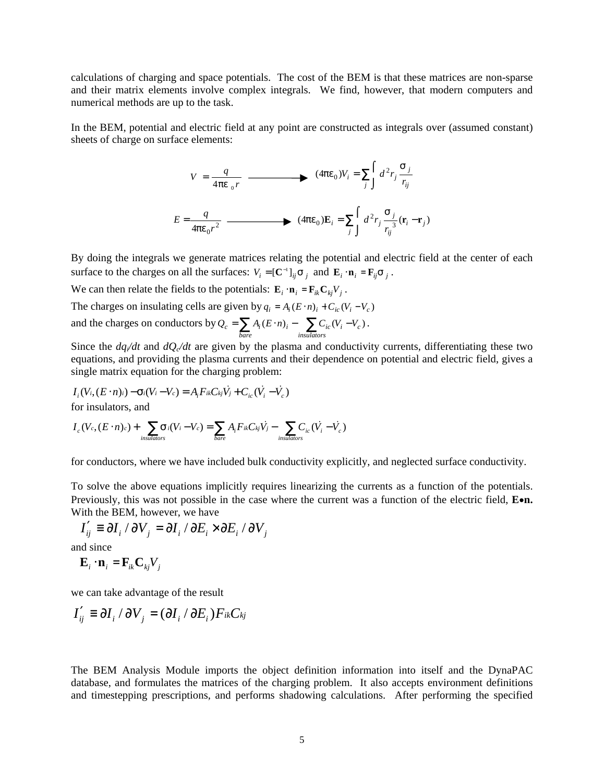calculations of charging and space potentials. The cost of the BEM is that these matrices are non-sparse and their matrix elements involve complex integrals. We find, however, that modern computers and numerical methods are up to the task.

In the BEM, potential and electric field at any point are constructed as integrals over(assumed constant) sheets of charge on surface elements:

$$
V = \frac{q}{4\pi\epsilon_0 r} \longrightarrow (4\pi\epsilon_0)V_i = \sum_j \int d^2 r_j \frac{\sigma_j}{r_{ij}}
$$
  

$$
E = \frac{q}{4\pi\epsilon_0 r^2} \longrightarrow (4\pi\epsilon_0) \mathbf{E}_i = \sum_j \int d^2 r_j \frac{\sigma_j}{r_{ij}^3} (\mathbf{r}_i - \mathbf{r}_j)
$$

By doing the integrals we generate matrices relating the potential and electric field at the center of each surface to the charges on all the surfaces:  $V_i = [\mathbf{C}^{-1}]_{ij} \sigma_j$  and  $\mathbf{E}_i \cdot \mathbf{n}_i = \mathbf{F}_{ij} \sigma_j$ .  $=$   $[\mathbf{C}^{-1}]_{ij}$  $\sigma_j$  and  $\mathbf{E}_i \cdot \mathbf{n}_i = \mathbf{F}_{ij} \sigma_j$ .  $=$   $\mathbf{F}_{ij}\sigma$   $\,j}$  .  $\cdot \mathbf{n}_i = \mathbf{F}_{ii} \mathbf{\sigma}_i$ .

We can then relate the fields to the potentials:  $\mathbf{E}_i \cdot \mathbf{n}_i = \mathbf{F}_{ik} \mathbf{C}_{kj} V_j$ .  $=$ **F**<sub>*ik*</sub>**C**<sub>*kj</sub>V<sub>j</sub>*.</sub>

The charges on insulating cells are given by  $q_i = A_i (E \cdot n)_i + C_{ic} (V_i - V_c)$  $q_i = A_i (E \cdot n)_i + C_{ic} (V_i - V_c)$ and the charges on conductors by  $Q_c = \sum_{bare} A_i (E \cdot n)_i - \sum_{insulators} C_{ic} (V_i - V_c)$ .  $i - v_c$ . *insulators*  $i = \sum C_{ic}(V_i - V_c)$ .  $= \sum A_i (E \cdot n)_i - \sum C_{ic} (V_i - V_c)$ .

Since the  $dq/dt$  and  $dQ_c/dt$  are given by the plasma and conductivity currents, differentiating these two equations, and providing the plasma currents and their dependence on potential and electric field, gives a single matrix equation for the charging problem:

$$
I_i(V_i,(E\cdot n)_i) - \sigma_i(V_i - V_c) = A_i F_{ik} C_{kj} V_j + C_{ic} (V_i - V_c)
$$

for insulators, and

$$
I_c(V_c,(E \cdot n)_c) + \sum_{insulators} \sigma_i(V_i - V_c) = \sum_{bare} A_i F_{ik} C_{kj} V_j - \sum_{insulators} C_{ic} (V_i - V_c)
$$

for conductors, where we have included bulk conductivity explicitly, and neglected surface conductivity.

To solve the above equations implicitly requires linearizing the currents as a function of the potentials. Previously, this was not possible in the case where the current was a function of the electric field, **E**•n. With the BEM, however, we have

$$
I'_{ij} \equiv \partial I_i / \partial V_j = \partial I_i / \partial E_i \times \partial E_i / \partial V_j
$$

and since

$$
\mathbf{E}_i \cdot \mathbf{n}_i = \mathbf{F}_{ik} \mathbf{C}_{kj} V_j
$$

we can take advantage of the result

$$
I'_{ij} \equiv \partial I_i / \partial V_j = (\partial I_i / \partial E_i) F_{ik} C_{kj}
$$

The BEM Analysis Module imports the object definition information into itself and the DynaPAC database, and formulates the matrices of the charging problem. It also accepts environment definitions and timestepping prescriptions, and performs shadowing calculations. After performing the specified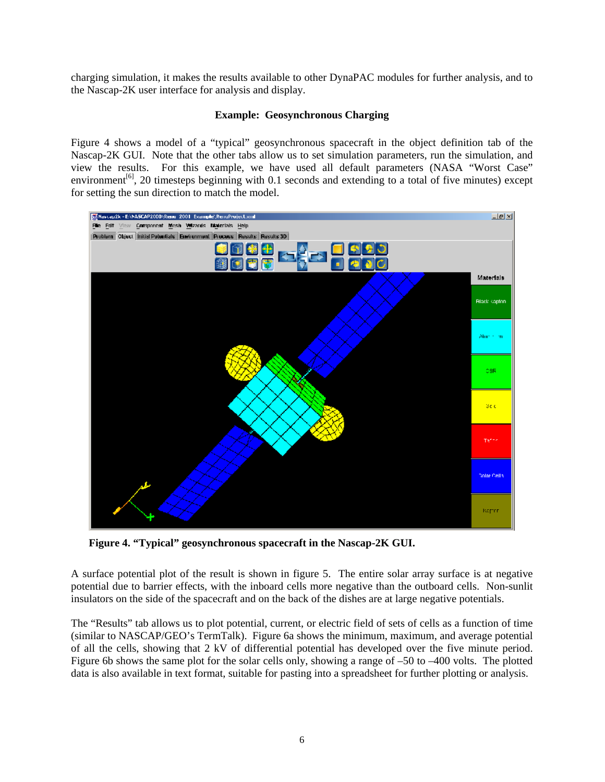charging simulation, it makes the results available to other DynaPAC modules for further analysis, and to the Nascap-2K user interface for analysis and display.

# **Example: Geosynchronous Charging**

Figure 4 shows a model of a "typical" geosynchronous spacecraft in the object definition tab of the Nascap-2K GUI. Note that the other tabs allow us to set simulation parameters, run the simulation, and view the results. For this example, we have used all default parameters (NASA "Worst Case" environment<sup>[6]</sup>, 20 timesteps beginning with 0.1 seconds and extending to a total of five minutes) except for setting the sun direction to match the model.



**Figure 4. "Typical" geosynchronous spacecraft in the Nascap-2K GUI.**

A surface potential plot of the result is shown in figure 5. The entire solar array surface is at negative potential due to barrier effects, with the inboard cells more negative than the outboard cells. Non-sunlit insulators on the side of the spacecraft and on the back of the dishes areat large negative potentials.

The "Results" tab allows us to plot potential, current, or electric field of sets of cells as a function of time (similar to NASCAP/GEO's TermTalk). Figure 6a shows the minimum, maximum, and average potential of all the cells, showing that 2 kV of differential potential has developed over the five minute period. Figure 6b shows the same plot for the solar cells only, showing a range of –50 to –400 volts. The plotted data is also available in text format, suitable for pasting into a spreadsheet for further plotting or analysis.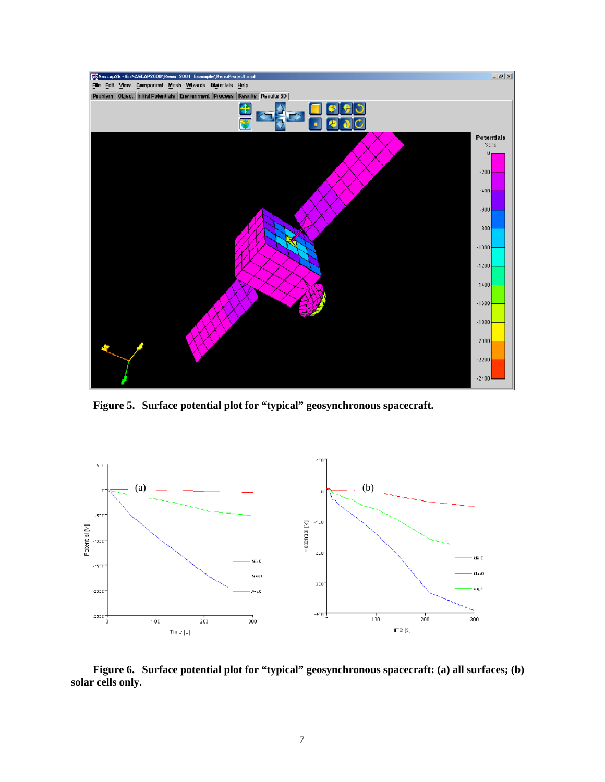

**Figure 5. Surface potential plot for "typical" geosynchronous spacecraft.**



**Figure 6. Surface potential plot for "typical" geosynchronous spacecraft: (a) all surfaces; (b)**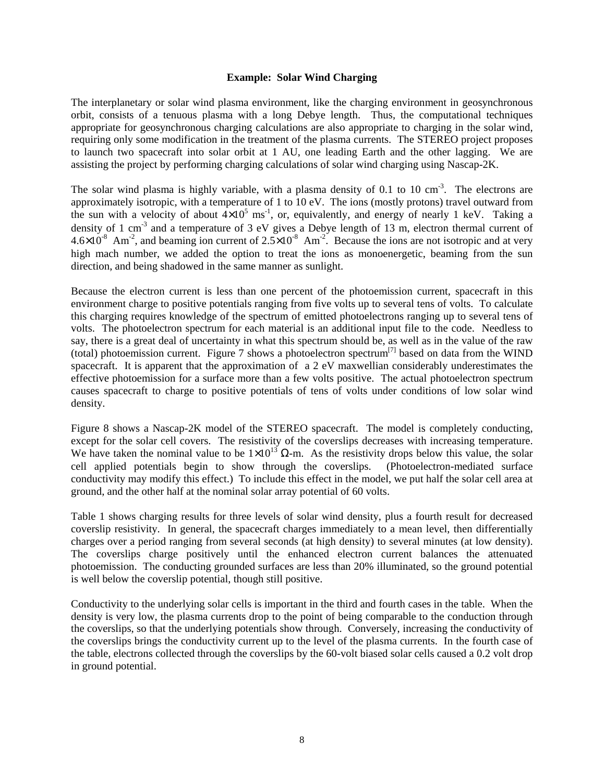### **Example: Solar Wind Charging**

The interplanetary or solar wind plasma environment, like the charging environment in geosynchronous orbit, consists of a tenuous plasma with a long Debye length. Thus, the computational techniques appropriate for geosynchronous charging calculations are also appropriate to charging in the solar wind, requiring only some modification in the treatment of the plasma currents. The STEREO project proposes to launch two spacecraft into solar orbit at 1 AU, one leading Earth and the other lagging. We are assisting the project by performing charging calculations of solar wind charging using Nascap-2K.

The solar wind plasma is highly variable, with a plasma density of 0.1 to 10 cm<sup>-3</sup>. The electrons are  $-3$  The electrons are . The electrons are approximately isotropic, with a temperature of 1 to 10 eV. The ions (mostly protons) travel outward from the sun with a velocity of about  $4\times10^5$  ms<sup>-1</sup>, or, equivalently, and energy of nearly 1 keV. Taking a density of 1 cm<sup>-3</sup> and a temperature of 3 eV gives a Debye length of 13 m, electron thermal current of  $4.6\times10^{-8}$  Am<sup>-2</sup>, and beaming ion current of  $2.5\times10^{-8}$  Am<sup>-2</sup>. Because the ions are not isotropic and at very high mach number, we added the option to treat the ions as monoenergetic, beaming from the sun direction, and being shadowed in the same manner as sunlight.

Because the electron current is less than one percent of the photoemission current, spacecraft in this environment charge to positive potentials ranging from five volts up to several tens of volts. To calculate this charging requires knowledge of the spectrum of emitted photoelectrons ranging up to several tens of volts. The photoelectron spectrum for each material is an additional input file to the code. Needless to say, there is a great deal of uncertainty in what this spectrum should be, as well as in the value of the raw (total) photoemission current. Figure 7 shows a photoelectron spectrum<sup>[7]</sup> based on data from the WIND <sup>[7]</sup> based on data from the WIND spacecraft. It is apparent that the approximation of a 2 eV maxwellian considerably underestimates the effective photoemission for a surface more than a few volts positive. The actual photoelectron spectrum causes spacecraft to charge to positive potentials of tens of volts under conditions of low solar wind density.

Figure 8 shows a Nascap-2K model of the STEREO spacecraft. The model is completely conducting, except for the solar cell covers. The resistivity of the coverslips decreases with increasing temperature. We have taken the nominal value to be  $1\times10^{13}$   $\Omega$ -m. As the resistivity drops below this value, the solar cell applied potentials begin to show through the coverslips. (Photoelectron-mediated surface conductivity may modify this effect.) To include this effect in the model, we put half the solarcell area at ground, and the other half at the nominal solar array potential of 60 volts.

Table 1 shows charging results for three levels of solar wind density, plus a fourth result for decreased coverslip resistivity. In general, the spacecraft charges immediately to a mean level, then differentially charges over a period ranging from several seconds (at high density) to several minutes (at low density). The coverslips charge positively until the enhanced electron current balances the attenuated photoemission. The conducting grounded surfaces are less than 20% illuminated, so the ground potential is well below the coverslip potential, though still positive.

Conductivity to the underlying solar cells is important in the third and fourth cases in the table. When the density is very low, the plasma currents drop to the point of being comparable to the conduction through the coverslips, so that the underlying potentials show through. Conversely, increasing the conductivity of the coverslips brings the conductivity current up to the level of the plasma currents. In the fourth case of the table, electrons collected through the coverslips by the 60-volt biased solar cells caused a 0.2 volt drop in ground potential.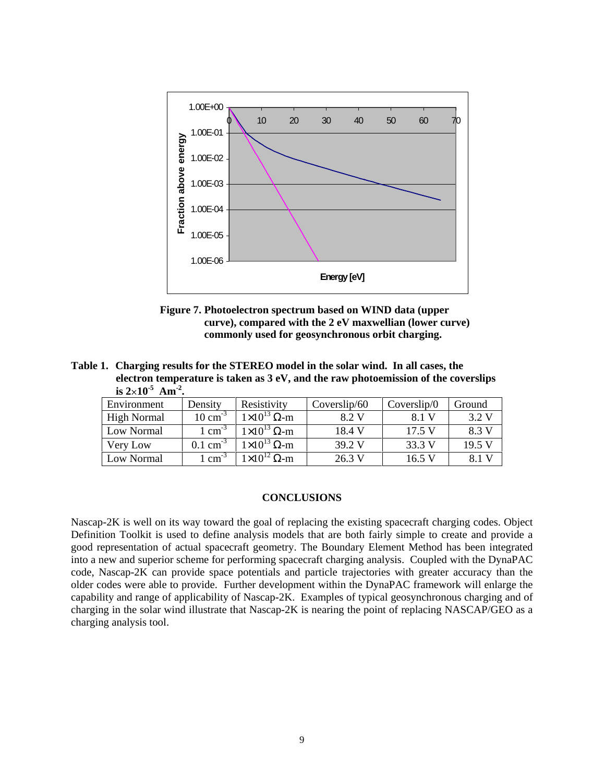

**Figure 7. Photoelectron spectrum based on WIND data (upper curve), compared with the 2 eV maxwellian (lower curve) commonly used for geosynchronous orbit charging.**

**Table 1. Charging results for the STEREO model in the solar wind. In all cases, the electron temperature** is **taken** as  $3 \text{ eV}$ , and **the raw** photoemission of the coverslips is  $2 \times 10^{-5}$  Am<sup>-2</sup>. **is**  $2 \times 10^{-5}$  Am<sup>-2</sup>. **-5 Am -2 .**

| $\sim$ $\sim$ $\sim$ $\sim$ $\sim$ $\sim$ $\sim$ |                                   |                              |               |                                    |        |
|--------------------------------------------------|-----------------------------------|------------------------------|---------------|------------------------------------|--------|
| Environment                                      |                                   | Density Resistivity          | .`oversl1p/60 | $\vert$ Coverslip/0 $\vert$ Ground |        |
| High Normal                                      | $10 \text{ cm}^{-3}$   1×         | $\times 10^{13}$ Ω-m         | 8.2 V         | $0.1 \text{ N}$                    | 201    |
| Low Normal                                       | 1 cm                              | $1\times10^{13}$ Q-m         | 18.4 V        | 175U                               | 8.3 V  |
| Very Low                                         | 0.1 cm <sup>-3</sup>   1 $\times$ | $1\times10^{13}$ $\Omega$ -m | 302V          | 22.21                              | 19.5 V |
| Low Normal                                       | $\frac{1}{2}$ CIII                | $1\times10^{12}$ Q-m         | 26.3 V        | $1 \in \mathcal{L}$ $\mathbf{V}$   | 8.1 V  |

#### **CONCLUSIONS**

Nascap-2K is well on its way toward the goal of replacing the existing spacecraft charging codes. Object Definition Toolkit is used to define analysis models that are both fairly simple to create and provide a good representation of actual spacecraft geometry. The Boundary Element Method has been integrated into a new and superior scheme for performing spacecraft charging analysis. Coupled with the DynaPAC code, Nascap-2K can provide space potentials and particle trajectories with greater accuracy than the older codes were able to provide. Further development within the DynaPAC framework will enlarge the capability and range of applicability of Nascap-2K. Examples of typical geosynchronous charging and of charging in the solar wind illustrate that Nascap-2K is nearing the point of replacing NASCAP/GEO as a **Example 1.00E-06**<br> **Example 1.** Charging results for the STEREO model in the solar vind. In all cases, the<br>
curve), compared with the 2 eV maxwellian (lower curve)<br>
commonly used for geosynchronous orbit charging.<br>
Table